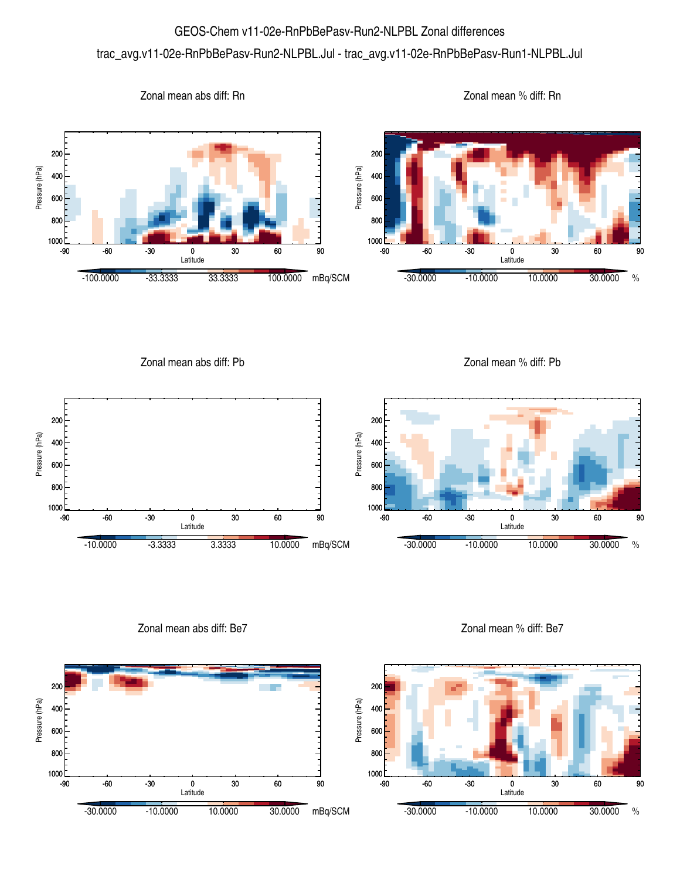## GEOS-Chem v11-02e-RnPbBePasv-Run2-NLPBL Zonal differences trac\_avg.v11-02e-RnPbBePasv-Run2-NLPBL.Jul - trac\_avg.v11-02e-RnPbBePasv-Run1-NLPBL.Jul





Zonal mean abs diff: Be7



Zonal mean % diff: Be7